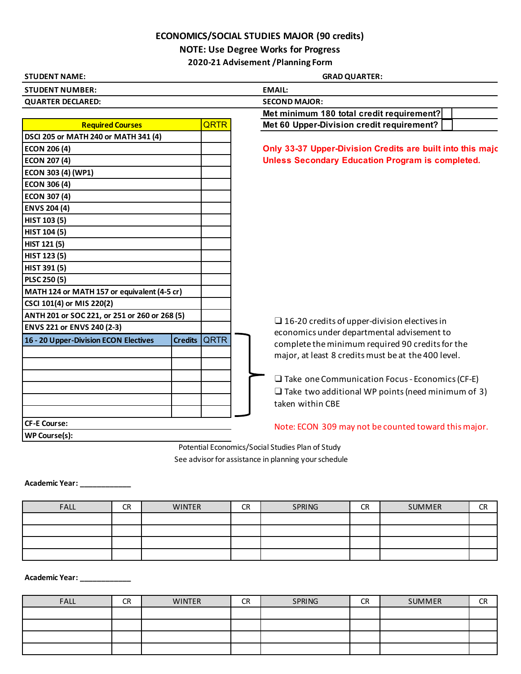## **ECONOMICS/SOCIAL STUDIES MAJOR (90 credits)**

**NOTE: Use Degree Works for Progress**

**2020-21 Advisement /Planning Form**

| <b>STUDENT NAME:</b>                                                   | <b>GRAD QUARTER:</b>                                       |
|------------------------------------------------------------------------|------------------------------------------------------------|
| <b>STUDENT NUMBER:</b>                                                 | <b>EMAIL:</b>                                              |
| <b>QUARTER DECLARED:</b>                                               | <b>SECOND MAJOR:</b>                                       |
|                                                                        | Met minimum 180 total credit requirement?                  |
| <b>QRTR</b><br><b>Required Courses</b>                                 | Met 60 Upper-Division credit requirement?                  |
| DSCI 205 or MATH 240 or MATH 341 (4)                                   |                                                            |
| <b>ECON 206 (4)</b>                                                    | Only 33-37 Upper-Division Credits are built into this majo |
| <b>ECON 207 (4)</b>                                                    | <b>Unless Secondary Education Program is completed.</b>    |
| ECON 303 (4) (WP1)                                                     |                                                            |
| <b>ECON 306 (4)</b>                                                    |                                                            |
| <b>ECON 307 (4)</b>                                                    |                                                            |
| <b>ENVS 204 (4)</b>                                                    |                                                            |
| HIST 103 (5)                                                           |                                                            |
| HIST 104 (5)                                                           |                                                            |
| HIST 121 (5)                                                           |                                                            |
| HIST 123 (5)                                                           |                                                            |
| HIST 391 (5)                                                           |                                                            |
| PLSC 250 (5)                                                           |                                                            |
| MATH 124 or MATH 157 or equivalent (4-5 cr)                            |                                                            |
| CSCI 101(4) or MIS 220(2)                                              |                                                            |
| ANTH 201 or SOC 221, or 251 or 260 or 268 (5)                          | $\Box$ 16-20 credits of upper-division electives in        |
| <b>ENVS 221 or ENVS 240 (2-3)</b>                                      | economics under departmental advisement to                 |
| <b>ORTR</b><br>16 - 20 Upper-Division ECON Electives<br><b>Credits</b> | complete the minimum required 90 credits for the           |
|                                                                        | major, at least 8 credits must be at the 400 level.        |
|                                                                        |                                                            |
|                                                                        | $\Box$ Take one Communication Focus - Economics (CF-E)     |
|                                                                        | $\Box$ Take two additional WP points (need minimum of 3)   |
|                                                                        | taken within CBE                                           |
|                                                                        |                                                            |
| <b>CF-E Course:</b>                                                    | Note: ECON 309 may not be counted toward this major.       |
| <b>WP Course(s):</b>                                                   |                                                            |
|                                                                        | Potential Economics/Social Studies Plan of Study           |
|                                                                        | See advisor for assistance in planning your schedule       |

**Academic Year: \_\_\_\_\_\_\_\_\_\_\_\_**

| <b>FALL</b> | <b>CR</b> | <b>WINTER</b> | <b>CR</b> | SPRING | <b>CR</b> | SUMMER | <b>CR</b> |
|-------------|-----------|---------------|-----------|--------|-----------|--------|-----------|
|             |           |               |           |        |           |        |           |
|             |           |               |           |        |           |        |           |
|             |           |               |           |        |           |        |           |
|             |           |               |           |        |           |        |           |

**Academic Year: \_\_\_\_\_\_\_\_\_\_\_\_**

| <b>FALL</b> | CR | <b>WINTER</b> | <b>CR</b> | SPRING | <b>CR</b> | <b>SUMMER</b> | <b>CR</b> |
|-------------|----|---------------|-----------|--------|-----------|---------------|-----------|
|             |    |               |           |        |           |               |           |
|             |    |               |           |        |           |               |           |
|             |    |               |           |        |           |               |           |
|             |    |               |           |        |           |               |           |